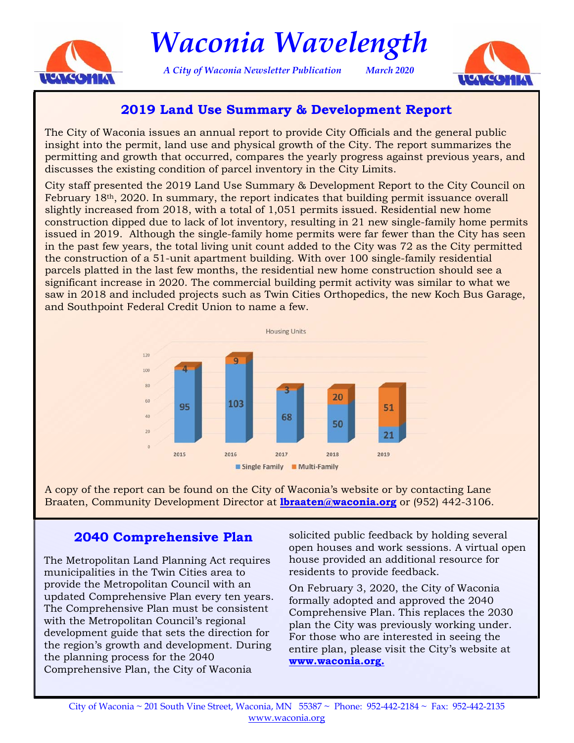

# *Waconia Wavelength*

*A City of Waconia Newsletter Publication March 2020* 



## **2019 Land Use Summary & Development Report**

The City of Waconia issues an annual report to provide City Officials and the general public insight into the permit, land use and physical growth of the City. The report summarizes the permitting and growth that occurred, compares the yearly progress against previous years, and discusses the existing condition of parcel inventory in the City Limits.

City staff presented the 2019 Land Use Summary & Development Report to the City Council on February 18th, 2020. In summary, the report indicates that building permit issuance overall slightly increased from 2018, with a total of 1,051 permits issued. Residential new home construction dipped due to lack of lot inventory, resulting in 21 new single-family home permits issued in 2019. Although the single-family home permits were far fewer than the City has seen in the past few years, the total living unit count added to the City was 72 as the City permitted the construction of a 51-unit apartment building. With over 100 single-family residential parcels platted in the last few months, the residential new home construction should see a significant increase in 2020. The commercial building permit activity was similar to what we saw in 2018 and included projects such as Twin Cities Orthopedics, the new Koch Bus Garage, and Southpoint Federal Credit Union to name a few.



A copy of the report can be found on the City of Waconia's website or by contacting Lane Braaten, Community Development Director at **lbraaten@waconia.org** or (952) 442-3106.

# **2040 Comprehensive Plan**

The Metropolitan Land Planning Act requires municipalities in the Twin Cities area to provide the Metropolitan Council with an updated Comprehensive Plan every ten years. The Comprehensive Plan must be consistent with the Metropolitan Council's regional development guide that sets the direction for the region's growth and development. During the planning process for the 2040 Comprehensive Plan, the City of Waconia

solicited public feedback by holding several open houses and work sessions. A virtual open house provided an additional resource for residents to provide feedback.

On February 3, 2020, the City of Waconia formally adopted and approved the 2040 Comprehensive Plan. This replaces the 2030 plan the City was previously working under. For those who are interested in seeing the entire plan, please visit the City's website at **[www.waconia.org.](http://waconia.org/450/2040-Comprehensive-Plan)**